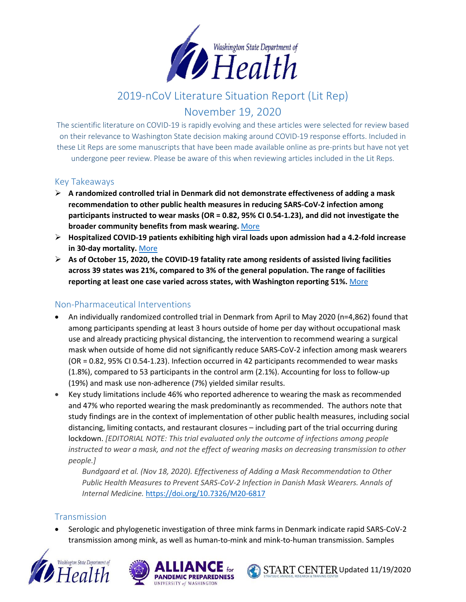

# 2019-nCoV Literature Situation Report (Lit Rep)

# November 19, 2020

The scientific literature on COVID-19 is rapidly evolving and these articles were selected for review based on their relevance to Washington State decision making around COVID-19 response efforts. Included in these Lit Reps are some manuscripts that have been made available online as pre-prints but have not yet undergone peer review. Please be aware of this when reviewing articles included in the Lit Reps.

#### Key Takeaways

- **A randomized controlled trial in Denmark did not demonstrate effectiveness of adding a mask recommendation to other public health measures in reducing SARS-CoV-2 infection among participants instructed to wear masks (OR = 0.82, 95% CI 0.54-1.23), and did not investigate the broader community benefits from mask wearing.** [More](https://doi.org/10.7326/M20-6817)
- **Hospitalized COVID-19 patients exhibiting high viral loads upon admission had a 4.2-fold increase in 30-day mortality.** [More](https://doi.org/10.1093/ofid/ofaa535)
- **As of October 15, 2020, the COVID-19 fatality rate among residents of assisted living facilities across 39 states was 21%, compared to 3% of the general population. The range of facilities reporting at least one case varied across states, with Washington reporting 51%.** [More](https://doi.org/10.15585/mmwr.mm6946a3)

#### Non-Pharmaceutical Interventions

- An individually randomized controlled trial in Denmark from April to May 2020 (n=4,862) found that among participants spending at least 3 hours outside of home per day without occupational mask use and already practicing physical distancing, the intervention to recommend wearing a surgical mask when outside of home did not significantly reduce SARS-CoV-2 infection among mask wearers (OR = 0.82, 95% CI 0.54-1.23). Infection occurred in 42 participants recommended to wear masks (1.8%), compared to 53 participants in the control arm (2.1%). Accounting for loss to follow-up (19%) and mask use non-adherence (7%) yielded similar results.
- Key study limitations include 46% who reported adherence to wearing the mask as recommended and 47% who reported wearing the mask predominantly as recommended. The authors note that study findings are in the context of implementation of other public health measures, including social distancing, limiting contacts, and restaurant closures – including part of the trial occurring during lockdown. *[EDITORIAL NOTE: This trial evaluated only the outcome of infections among people instructed to wear a mask, and not the effect of wearing masks on decreasing transmission to other people.]*

*Bundgaard et al. (Nov 18, 2020). Effectiveness of Adding a Mask Recommendation to Other Public Health Measures to Prevent SARS-CoV-2 Infection in Danish Mask Wearers. Annals of Internal Medicine.* <https://doi.org/10.7326/M20-6817>

#### Transmission

• Serologic and phylogenetic investigation of three mink farms in Denmark indicate rapid SARS-CoV-2 transmission among mink, as well as human-to-mink and mink-to-human transmission. Samples





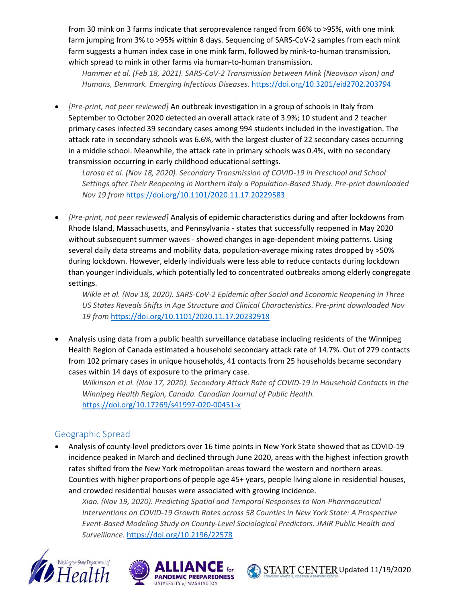from 30 mink on 3 farms indicate that seroprevalence ranged from 66% to >95%, with one mink farm jumping from 3% to >95% within 8 days. Sequencing of SARS-CoV-2 samples from each mink farm suggests a human index case in one mink farm, followed by mink-to-human transmission, which spread to mink in other farms via human-to-human transmission.

*Hammer et al. (Feb 18, 2021). SARS-CoV-2 Transmission between Mink (Neovison vison) and Humans, Denmark. Emerging Infectious Diseases.* <https://doi.org/10.3201/eid2702.203794>

• *[Pre-print, not peer reviewed]* An outbreak investigation in a group of schools in Italy from September to October 2020 detected an overall attack rate of 3.9%; 10 student and 2 teacher primary cases infected 39 secondary cases among 994 students included in the investigation. The attack rate in secondary schools was 6.6%, with the largest cluster of 22 secondary cases occurring in a middle school. Meanwhile, the attack rate in primary schools was 0.4%, with no secondary transmission occurring in early childhood educational settings.

Larosa et al. (Nov 18, 2020). Secondary Transmission of COVID-19 in Preschool and School *Settings after Their Reopening in Northern Italy a Population-Based Study. Pre-print downloaded Nov 19 from* <https://doi.org/10.1101/2020.11.17.20229583>

• *[Pre-print, not peer reviewed]* Analysis of epidemic characteristics during and after lockdowns from Rhode Island, Massachusetts, and Pennsylvania - states that successfully reopened in May 2020 without subsequent summer waves - showed changes in age-dependent mixing patterns. Using several daily data streams and mobility data, population-average mixing rates dropped by >50% during lockdown. However, elderly individuals were less able to reduce contacts during lockdown than younger individuals, which potentially led to concentrated outbreaks among elderly congregate settings.

*Wikle et al. (Nov 18, 2020). SARS-CoV-2 Epidemic after Social and Economic Reopening in Three US States Reveals Shifts in Age Structure and Clinical Characteristics. Pre-print downloaded Nov 19 from* <https://doi.org/10.1101/2020.11.17.20232918>

• Analysis using data from a public health surveillance database including residents of the Winnipeg Health Region of Canada estimated a household secondary attack rate of 14.7%. Out of 279 contacts from 102 primary cases in unique households, 41 contacts from 25 households became secondary cases within 14 days of exposure to the primary case.

*Wilkinson et al. (Nov 17, 2020). Secondary Attack Rate of COVID-19 in Household Contacts in the Winnipeg Health Region, Canada. Canadian Journal of Public Health.*  <https://doi.org/10.17269/s41997-020-00451-x>

# Geographic Spread

• Analysis of county-level predictors over 16 time points in New York State showed that as COVID-19 incidence peaked in March and declined through June 2020, areas with the highest infection growth rates shifted from the New York metropolitan areas toward the western and northern areas. Counties with higher proportions of people age 45+ years, people living alone in residential houses, and crowded residential houses were associated with growing incidence.

*Xiao. (Nov 19, 2020). Predicting Spatial and Temporal Responses to Non-Pharmaceutical Interventions on COVID-19 Growth Rates across 58 Counties in New York State: A Prospective Event-Based Modeling Study on County-Level Sociological Predictors. JMIR Public Health and Surveillance.* <https://doi.org/10.2196/22578>





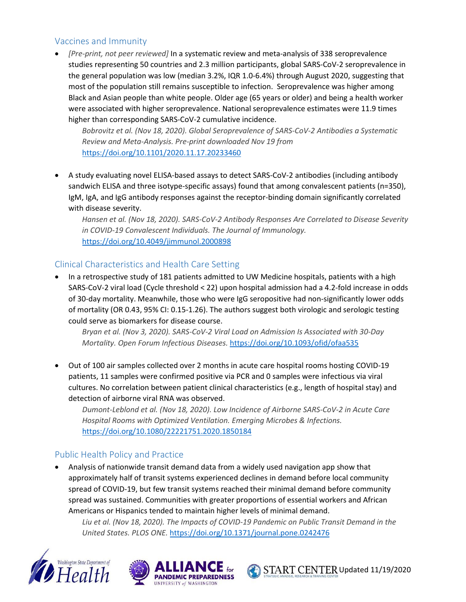# Vaccines and Immunity

• *[Pre-print, not peer reviewed]* In a systematic review and meta-analysis of 338 seroprevalence studies representing 50 countries and 2.3 million participants, global SARS-CoV-2 seroprevalence in the general population was low (median 3.2%, IQR 1.0-6.4%) through August 2020, suggesting that most of the population still remains susceptible to infection. Seroprevalence was higher among Black and Asian people than white people. Older age (65 years or older) and being a health worker were associated with higher seroprevalence. National seroprevalence estimates were 11.9 times higher than corresponding SARS-CoV-2 cumulative incidence.

*Bobrovitz et al. (Nov 18, 2020). Global Seroprevalence of SARS-CoV-2 Antibodies a Systematic Review and Meta-Analysis. Pre-print downloaded Nov 19 from* <https://doi.org/10.1101/2020.11.17.20233460>

• A study evaluating novel ELISA-based assays to detect SARS-CoV-2 antibodies (including antibody sandwich ELISA and three isotype-specific assays) found that among convalescent patients (n=350), IgM, IgA, and IgG antibody responses against the receptor-binding domain significantly correlated with disease severity.

*Hansen et al. (Nov 18, 2020). SARS-CoV-2 Antibody Responses Are Correlated to Disease Severity in COVID-19 Convalescent Individuals. The Journal of Immunology.*  <https://doi.org/10.4049/jimmunol.2000898>

### Clinical Characteristics and Health Care Setting

• In a retrospective study of 181 patients admitted to UW Medicine hospitals, patients with a high SARS-CoV-2 viral load (Cycle threshold < 22) upon hospital admission had a 4.2-fold increase in odds of 30-day mortality. Meanwhile, those who were IgG seropositive had non-significantly lower odds of mortality (OR 0.43, 95% CI: 0.15-1.26). The authors suggest both virologic and serologic testing could serve as biomarkers for disease course.

*Bryan et al. (Nov 3, 2020). SARS-CoV-2 Viral Load on Admission Is Associated with 30-Day Mortality. Open Forum Infectious Diseases.* <https://doi.org/10.1093/ofid/ofaa535>

• Out of 100 air samples collected over 2 months in acute care hospital rooms hosting COVID-19 patients, 11 samples were confirmed positive via PCR and 0 samples were infectious via viral cultures. No correlation between patient clinical characteristics (e.g., length of hospital stay) and detection of airborne viral RNA was observed.

*Dumont-Leblond et al. (Nov 18, 2020). Low Incidence of Airborne SARS-CoV-2 in Acute Care Hospital Rooms with Optimized Ventilation. Emerging Microbes & Infections.*  <https://doi.org/10.1080/22221751.2020.1850184>

#### Public Health Policy and Practice

• Analysis of nationwide transit demand data from a widely used navigation app show that approximately half of transit systems experienced declines in demand before local community spread of COVID-19, but few transit systems reached their minimal demand before community spread was sustained. Communities with greater proportions of essential workers and African Americans or Hispanics tended to maintain higher levels of minimal demand.

*Liu et al. (Nov 18, 2020). The Impacts of COVID-19 Pandemic on Public Transit Demand in the United States. PLOS ONE.* <https://doi.org/10.1371/journal.pone.0242476>





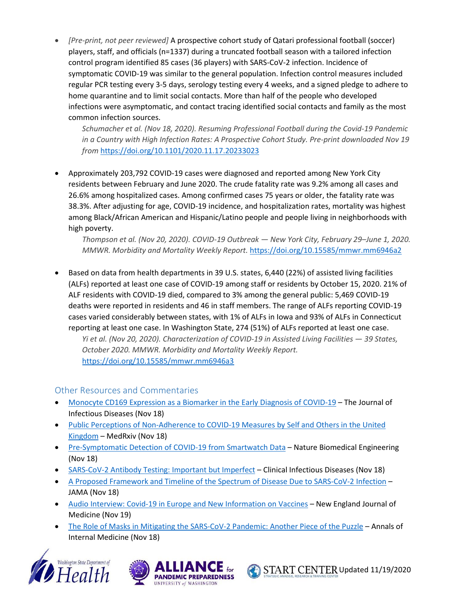• *[Pre-print, not peer reviewed]* A prospective cohort study of Qatari professional football (soccer) players, staff, and officials (n=1337) during a truncated football season with a tailored infection control program identified 85 cases (36 players) with SARS-CoV-2 infection. Incidence of symptomatic COVID-19 was similar to the general population. Infection control measures included regular PCR testing every 3-5 days, serology testing every 4 weeks, and a signed pledge to adhere to home quarantine and to limit social contacts. More than half of the people who developed infections were asymptomatic, and contact tracing identified social contacts and family as the most common infection sources.

*Schumacher et al. (Nov 18, 2020). Resuming Professional Football during the Covid-19 Pandemic in a Country with High Infection Rates: A Prospective Cohort Study. Pre-print downloaded Nov 19 from* <https://doi.org/10.1101/2020.11.17.20233023>

• Approximately 203,792 COVID-19 cases were diagnosed and reported among New York City residents between February and June 2020. The crude fatality rate was 9.2% among all cases and 26.6% among hospitalized cases. Among confirmed cases 75 years or older, the fatality rate was 38.3%. After adjusting for age, COVID-19 incidence, and hospitalization rates, mortality was highest among Black/African American and Hispanic/Latino people and people living in neighborhoods with high poverty.

*Thompson et al. (Nov 20, 2020). COVID-19 Outbreak — New York City, February 29–June 1, 2020. MMWR. Morbidity and Mortality Weekly Report.* <https://doi.org/10.15585/mmwr.mm6946a2>

• Based on data from health departments in 39 U.S. states, 6,440 (22%) of assisted living facilities (ALFs) reported at least one case of COVID-19 among staff or residents by October 15, 2020. 21% of ALF residents with COVID-19 died, compared to 3% among the general public: 5,469 COVID-19 deaths were reported in residents and 46 in staff members. The range of ALFs reporting COVID-19 cases varied considerably between states, with 1% of ALFs in Iowa and 93% of ALFs in Connecticut reporting at least one case. In Washington State, 274 (51%) of ALFs reported at least one case. *Yi et al. (Nov 20, 2020). Characterization of COVID-19 in Assisted Living Facilities — 39 States,* 

*October 2020. MMWR. Morbidity and Mortality Weekly Report.* <https://doi.org/10.15585/mmwr.mm6946a3>

# Other Resources and Commentaries

- [Monocyte CD169 Expression as a Biomarker in the Early Diagnosis of COVID-19](https://doi.org/10.1093/infdis/jiaa724) The Journal of Infectious Diseases (Nov 18)
- [Public Perceptions of Non-Adherence to COVID-19 Measures by Self and Others in the United](https://doi.org/10.1101/2020.11.17.20233486)  [Kingdom](https://doi.org/10.1101/2020.11.17.20233486) – MedRxiv (Nov 18)
- [Pre-Symptomatic Detection of COVID-19 from Smartwatch Data](https://doi.org/10.1038/s41551-020-00640-6) Nature Biomedical Engineering (Nov 18)
- [SARS-CoV-2 Antibody Testing: Important but Imperfect](https://doi.org/10.1093/cid/ciaa1755) Clinical Infectious Diseases (Nov 18)
- [A Proposed Framework and Timeline of the Spectrum of Disease Due to SARS-CoV-2 Infection](https://doi.org/10.1001/jama.2020.22717) JAMA (Nov 18)
- [Audio Interview: Covid-19 in Europe and New Information on Vaccines](https://doi.org/10.1056/NEJMe2033666) New England Journal of Medicine (Nov 19)
- [The Role of Masks in Mitigating the SARS-CoV-2 Pandemic: Another Piece of the Puzzle](https://doi.org/10.7326/M20-7448) Annals of Internal Medicine (Nov 18)